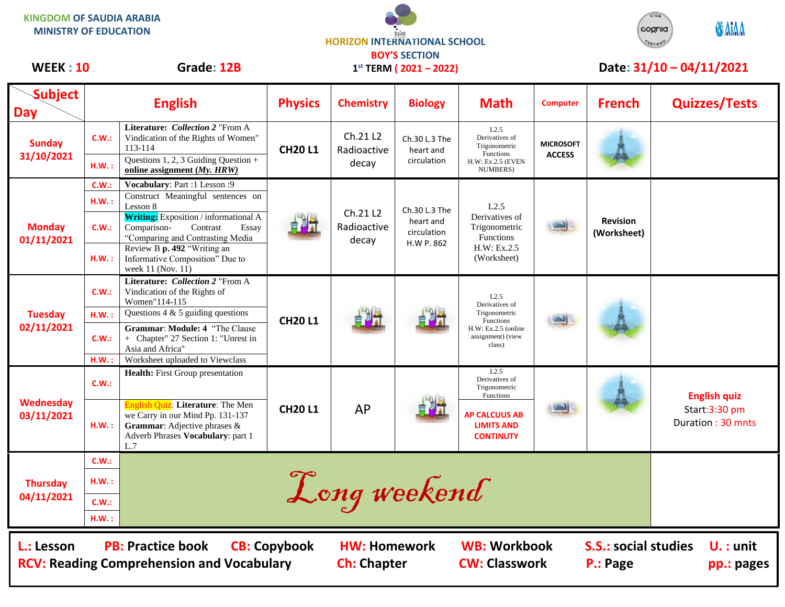**KINGDOM OF SAUDIA ARABIA MINISTRY OF EDUCATION**





## WEEK : 10 Grade: 12B 1<sup>st</sup> TERM (2021 – 2022) Date: 31/10 – 04/11/2021

| <b>Subject</b><br><b>Day</b>                                                                                                                                                                                                                                                          | <b>English</b> |                                                                                                                                                          | <b>Physics</b> | <b>Chemistry</b>                 | <b>Biology</b>                                          | <b>Math</b>                                                                                                  | <b>Computer</b>                   | <b>French</b>                  | <b>Quizzes/Tests</b>                                      |
|---------------------------------------------------------------------------------------------------------------------------------------------------------------------------------------------------------------------------------------------------------------------------------------|----------------|----------------------------------------------------------------------------------------------------------------------------------------------------------|----------------|----------------------------------|---------------------------------------------------------|--------------------------------------------------------------------------------------------------------------|-----------------------------------|--------------------------------|-----------------------------------------------------------|
| <b>Sunday</b><br>31/10/2021                                                                                                                                                                                                                                                           | C.W.:          | Literature: Collection 2 "From A<br>Vindication of the Rights of Women"<br>113-114                                                                       | <b>CH20L1</b>  | Ch.21 L2<br>Radioactive<br>decay | Ch.30 L.3 The<br>heart and<br>circulation               | L2.5<br>Derivatives of<br>Trigonometric<br>Functions<br>H.W: Ex.2.5 (EVEN<br>NUMBERS)                        | <b>MICROSOFT</b><br><b>ACCESS</b> |                                |                                                           |
|                                                                                                                                                                                                                                                                                       | H.W.:          | Questions 1, 2, 3 Guiding Question $+$<br>online assignment $(My, HRW)$                                                                                  |                |                                  |                                                         |                                                                                                              |                                   |                                |                                                           |
| <b>Monday</b><br>01/11/2021                                                                                                                                                                                                                                                           | C.W.:          | Vocabulary: Part :1 Lesson :9                                                                                                                            |                | Ch.21 L2<br>Radioactive<br>decay | Ch.30 L.3 The<br>heart and<br>circulation<br>H.W P. 862 | L2.5<br>Derivatives of<br>Trigonometric<br><b>Functions</b><br>H.W: Ex.2.5<br>(Worksheet)                    |                                   | <b>Revision</b><br>(Worksheet) |                                                           |
|                                                                                                                                                                                                                                                                                       | H.W.:          | Construct Meaningful sentences on<br>Lesson 8                                                                                                            |                |                                  |                                                         |                                                                                                              |                                   |                                |                                                           |
|                                                                                                                                                                                                                                                                                       | C.W.:          | <b>Writing:</b> Exposition / informational A<br>Comparison-<br>Contrast<br>Essay<br>"Comparing and Contrasting Media                                     |                |                                  |                                                         |                                                                                                              |                                   |                                |                                                           |
|                                                                                                                                                                                                                                                                                       | H.W.:          | Review B p. 492 "Writing an<br>Informative Composition" Due to<br>week 11 (Nov. 11)                                                                      |                |                                  |                                                         |                                                                                                              |                                   |                                |                                                           |
| <b>Tuesday</b><br>02/11/2021                                                                                                                                                                                                                                                          | C.W.:          | Literature: Collection 2 "From A<br>Vindication of the Rights of<br>Women"114-115                                                                        | <b>CH20L1</b>  |                                  |                                                         | L2.5<br>Derivatives of<br>Trigonometric<br>Functions<br>$H.W: Ex.2.5$ (online<br>assignment) (view<br>class) |                                   |                                |                                                           |
|                                                                                                                                                                                                                                                                                       | H.W.:          | Questions 4 & 5 guiding questions                                                                                                                        |                |                                  |                                                         |                                                                                                              |                                   |                                |                                                           |
|                                                                                                                                                                                                                                                                                       | C.W.:          | <b>Grammar: Module: 4 "The Clause"</b><br>+ Chapter" 27 Section 1: "Unrest in<br>Asia and Africa"                                                        |                |                                  |                                                         |                                                                                                              |                                   |                                |                                                           |
|                                                                                                                                                                                                                                                                                       | H.W.:          | Worksheet uploaded to Viewclass                                                                                                                          |                |                                  |                                                         |                                                                                                              |                                   |                                |                                                           |
| Wednesday<br>03/11/2021                                                                                                                                                                                                                                                               | C.W.:          | Health: First Group presentation                                                                                                                         | <b>CH20 L1</b> | <b>AP</b>                        |                                                         | L2.5<br>Derivatives of<br>Trigonometric<br>Functions                                                         |                                   |                                | <b>English quiz</b><br>Start:3:30 pm<br>Duration: 30 mnts |
|                                                                                                                                                                                                                                                                                       | H.W.:          | <b>English Quiz: Literature:</b> The Men<br>we Carry in our Mind Pp. 131-137<br>Grammar: Adjective phrases &<br>Adverb Phrases Vocabulary: part 1<br>L.7 |                |                                  |                                                         | <b>AP CALCUUS AB</b><br><b>LIMITS AND</b><br><b>CONTINUTY</b>                                                |                                   |                                |                                                           |
| <b>Thursday</b><br>04/11/2021                                                                                                                                                                                                                                                         | C.W.:          |                                                                                                                                                          |                |                                  |                                                         |                                                                                                              |                                   |                                |                                                           |
|                                                                                                                                                                                                                                                                                       | H.W.:          | Long weekend                                                                                                                                             |                |                                  |                                                         |                                                                                                              |                                   |                                |                                                           |
|                                                                                                                                                                                                                                                                                       | C.W.:          |                                                                                                                                                          |                |                                  |                                                         |                                                                                                              |                                   |                                |                                                           |
|                                                                                                                                                                                                                                                                                       | H.W.:          |                                                                                                                                                          |                |                                  |                                                         |                                                                                                              |                                   |                                |                                                           |
| <b>PB: Practice book</b><br><b>WB: Workbook</b><br><b>CB: Copybook</b><br><b>S.S.: social studies</b><br>$U.$ : unit<br>L.: Lesson<br><b>HW: Homework</b><br><b>CW: Classwork</b><br><b>RCV: Reading Comprehension and Vocabulary</b><br><b>Ch: Chapter</b><br>P.: Page<br>pp.: pages |                |                                                                                                                                                          |                |                                  |                                                         |                                                                                                              |                                   |                                |                                                           |